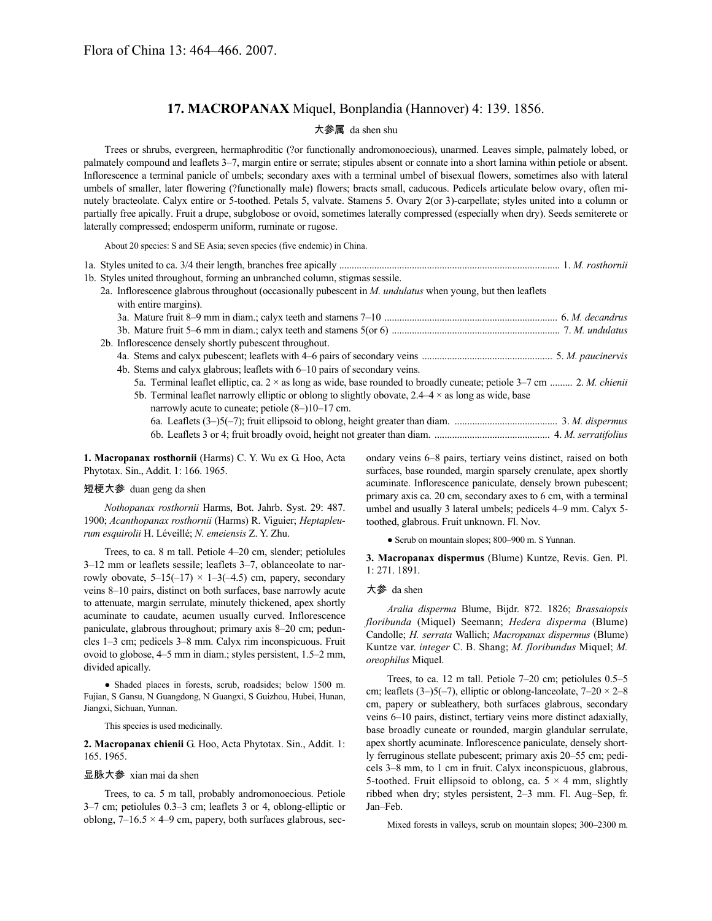## **17. MACROPANAX** Miquel, Bonplandia (Hannover) 4: 139. 1856.

## 大参属 da shen shu

Trees or shrubs, evergreen, hermaphroditic (?or functionally andromonoecious), unarmed. Leaves simple, palmately lobed, or palmately compound and leaflets 3–7, margin entire or serrate; stipules absent or connate into a short lamina within petiole or absent. Inflorescence a terminal panicle of umbels; secondary axes with a terminal umbel of bisexual flowers, sometimes also with lateral umbels of smaller, later flowering (?functionally male) flowers; bracts small, caducous. Pedicels articulate below ovary, often minutely bracteolate. Calyx entire or 5-toothed. Petals 5, valvate. Stamens 5. Ovary 2(or 3)-carpellate; styles united into a column or partially free apically. Fruit a drupe, subglobose or ovoid, sometimes laterally compressed (especially when dry). Seeds semiterete or laterally compressed; endosperm uniform, ruminate or rugose.

About 20 species: S and SE Asia; seven species (five endemic) in China.

|  | 1b. Styles united throughout, forming an unbranched column, stigmas sessile.                                                                   |  |
|--|------------------------------------------------------------------------------------------------------------------------------------------------|--|
|  | 2a. Inflorescence glabrous throughout (occasionally pubescent in $M$ . <i>undulatus</i> when young, but then leaflets<br>with entire margins). |  |
|  |                                                                                                                                                |  |
|  |                                                                                                                                                |  |
|  | 2b. Inflorescence densely shortly pubescent throughout.                                                                                        |  |
|  |                                                                                                                                                |  |
|  | 4b. Stems and calyx glabrous; leaflets with 6-10 pairs of secondary veins.                                                                     |  |
|  | 5a. Terminal leaflet elliptic, ca. $2 \times$ as long as wide, base rounded to broadly cuneate; petiole 3–7 cm  2. M. chienii                  |  |
|  | 5b. Terminal leaflet narrowly elliptic or oblong to slightly obovate, $2.4-4 \times$ as long as wide, base                                     |  |
|  | narrowly acute to cuneate; petiole $(8-)10-17$ cm.                                                                                             |  |
|  |                                                                                                                                                |  |
|  |                                                                                                                                                |  |

**1. Macropanax rosthornii** (Harms) C. Y. Wu ex G. Hoo, Acta Phytotax. Sin., Addit. 1: 166. 1965.

## 短梗大参 duan geng da shen

*Nothopanax rosthornii* Harms, Bot. Jahrb. Syst. 29: 487. 1900; *Acanthopanax rosthornii* (Harms) R. Viguier; *Heptapleurum esquirolii* H. Léveillé; *N. emeiensis* Z. Y. Zhu.

Trees, to ca. 8 m tall. Petiole 4–20 cm, slender; petiolules 3–12 mm or leaflets sessile; leaflets 3–7, oblanceolate to narrowly obovate,  $5-15(-17) \times 1-3(-4.5)$  cm, papery, secondary veins 8–10 pairs, distinct on both surfaces, base narrowly acute to attenuate, margin serrulate, minutely thickened, apex shortly acuminate to caudate, acumen usually curved. Inflorescence paniculate, glabrous throughout; primary axis 8–20 cm; peduncles 1–3 cm; pedicels 3–8 mm. Calyx rim inconspicuous. Fruit ovoid to globose, 4–5 mm in diam.; styles persistent, 1.5–2 mm, divided apically.

● Shaded places in forests, scrub, roadsides; below 1500 m. Fujian, S Gansu, N Guangdong, N Guangxi, S Guizhou, Hubei, Hunan, Jiangxi, Sichuan, Yunnan.

This species is used medicinally.

**2. Macropanax chienii** G. Hoo, Acta Phytotax. Sin., Addit. 1: 165. 1965.

#### 显脉大参 xian mai da shen

Trees, to ca. 5 m tall, probably andromonoecious. Petiole 3–7 cm; petiolules 0.3–3 cm; leaflets 3 or 4, oblong-elliptic or oblong,  $7-16.5 \times 4-9$  cm, papery, both surfaces glabrous, secondary veins 6–8 pairs, tertiary veins distinct, raised on both surfaces, base rounded, margin sparsely crenulate, apex shortly acuminate. Inflorescence paniculate, densely brown pubescent; primary axis ca. 20 cm, secondary axes to 6 cm, with a terminal umbel and usually 3 lateral umbels; pedicels 4–9 mm. Calyx 5 toothed, glabrous. Fruit unknown. Fl. Nov.

● Scrub on mountain slopes; 800–900 m. S Yunnan.

**3. Macropanax dispermus** (Blume) Kuntze, Revis. Gen. Pl. 1: 271. 1891.

## 大参 da shen

*Aralia disperma* Blume, Bijdr. 872. 1826; *Brassaiopsis floribunda* (Miquel) Seemann; *Hedera disperma* (Blume) Candolle; *H. serrata* Wallich; *Macropanax dispermus* (Blume) Kuntze var. *integer* C. B. Shang; *M. floribundus* Miquel; *M. oreophilus* Miquel.

Trees, to ca. 12 m tall. Petiole 7–20 cm; petiolules 0.5–5 cm; leaflets  $(3–)5(-7)$ , elliptic or oblong-lanceolate,  $7–20 \times 2–8$ cm, papery or subleathery, both surfaces glabrous, secondary veins 6–10 pairs, distinct, tertiary veins more distinct adaxially, base broadly cuneate or rounded, margin glandular serrulate, apex shortly acuminate. Inflorescence paniculate, densely shortly ferruginous stellate pubescent; primary axis 20–55 cm; pedicels 3–8 mm, to 1 cm in fruit. Calyx inconspicuous, glabrous, 5-toothed. Fruit ellipsoid to oblong, ca.  $5 \times 4$  mm, slightly ribbed when dry; styles persistent, 2–3 mm. Fl. Aug–Sep, fr. Jan–Feb.

Mixed forests in valleys, scrub on mountain slopes; 300–2300 m.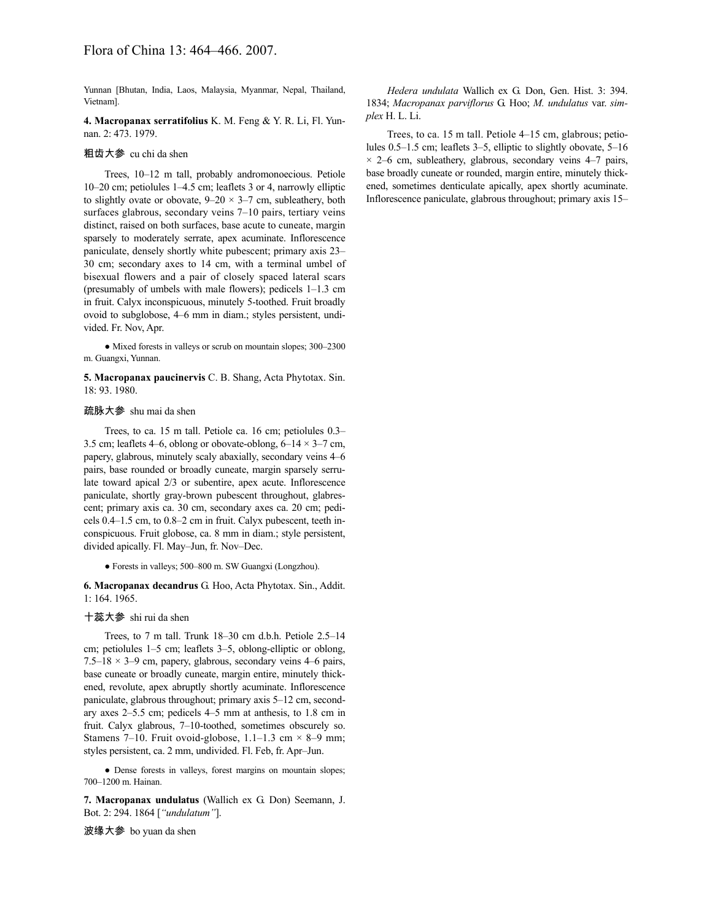Yunnan [Bhutan, India, Laos, Malaysia, Myanmar, Nepal, Thailand, Vietnam].

**4. Macropanax serratifolius** K. M. Feng & Y. R. Li, Fl. Yunnan. 2: 473. 1979.

#### 粗齿大参 cu chi da shen

Trees, 10–12 m tall, probably andromonoecious. Petiole 10–20 cm; petiolules 1–4.5 cm; leaflets 3 or 4, narrowly elliptic to slightly ovate or obovate,  $9-20 \times 3-7$  cm, subleathery, both surfaces glabrous, secondary veins 7–10 pairs, tertiary veins distinct, raised on both surfaces, base acute to cuneate, margin sparsely to moderately serrate, apex acuminate. Inflorescence paniculate, densely shortly white pubescent; primary axis 23– 30 cm; secondary axes to 14 cm, with a terminal umbel of bisexual flowers and a pair of closely spaced lateral scars (presumably of umbels with male flowers); pedicels 1–1.3 cm in fruit. Calyx inconspicuous, minutely 5-toothed. Fruit broadly ovoid to subglobose, 4–6 mm in diam.; styles persistent, undivided. Fr. Nov, Apr.

● Mixed forests in valleys or scrub on mountain slopes; 300–2300 m. Guangxi, Yunnan.

**5. Macropanax paucinervis** C. B. Shang, Acta Phytotax. Sin. 18: 93. 1980.

#### 疏脉大参 shu mai da shen

Trees, to ca. 15 m tall. Petiole ca. 16 cm; petiolules 0.3– 3.5 cm; leaflets 4–6, oblong or obovate-oblong,  $6-14 \times 3-7$  cm, papery, glabrous, minutely scaly abaxially, secondary veins 4–6 pairs, base rounded or broadly cuneate, margin sparsely serrulate toward apical 2/3 or subentire, apex acute. Inflorescence paniculate, shortly gray-brown pubescent throughout, glabrescent; primary axis ca. 30 cm, secondary axes ca. 20 cm; pedicels 0.4–1.5 cm, to 0.8–2 cm in fruit. Calyx pubescent, teeth inconspicuous. Fruit globose, ca. 8 mm in diam.; style persistent, divided apically. Fl. May–Jun, fr. Nov–Dec.

● Forests in valleys; 500–800 m. SW Guangxi (Longzhou).

**6. Macropanax decandrus** G. Hoo, Acta Phytotax. Sin., Addit. 1: 164. 1965.

#### 十蕊大参 shi rui da shen

Trees, to 7 m tall. Trunk 18–30 cm d.b.h. Petiole 2.5–14 cm; petiolules 1–5 cm; leaflets 3–5, oblong-elliptic or oblong,  $7.5-18 \times 3-9$  cm, papery, glabrous, secondary veins 4–6 pairs, base cuneate or broadly cuneate, margin entire, minutely thickened, revolute, apex abruptly shortly acuminate. Inflorescence paniculate, glabrous throughout; primary axis 5–12 cm, secondary axes 2–5.5 cm; pedicels 4–5 mm at anthesis, to 1.8 cm in fruit. Calyx glabrous, 7–10-toothed, sometimes obscurely so. Stamens 7–10. Fruit ovoid-globose,  $1.1-1.3$  cm  $\times$  8–9 mm; styles persistent, ca. 2 mm, undivided. Fl. Feb, fr. Apr–Jun.

● Dense forests in valleys, forest margins on mountain slopes; 700–1200 m. Hainan.

**7. Macropanax undulatus** (Wallich ex G. Don) Seemann, J. Bot. 2: 294. 1864 [*"undulatum"*].

波缘大参 bo yuan da shen

*Hedera undulata* Wallich ex G. Don, Gen. Hist. 3: 394. 1834; *Macropanax parviflorus* G. Hoo; *M. undulatus* var. *simplex* H. L. Li.

Trees, to ca. 15 m tall. Petiole 4–15 cm, glabrous; petiolules 0.5–1.5 cm; leaflets 3–5, elliptic to slightly obovate, 5–16  $\times$  2–6 cm, subleathery, glabrous, secondary veins 4–7 pairs, base broadly cuneate or rounded, margin entire, minutely thickened, sometimes denticulate apically, apex shortly acuminate. Inflorescence paniculate, glabrous throughout; primary axis 15–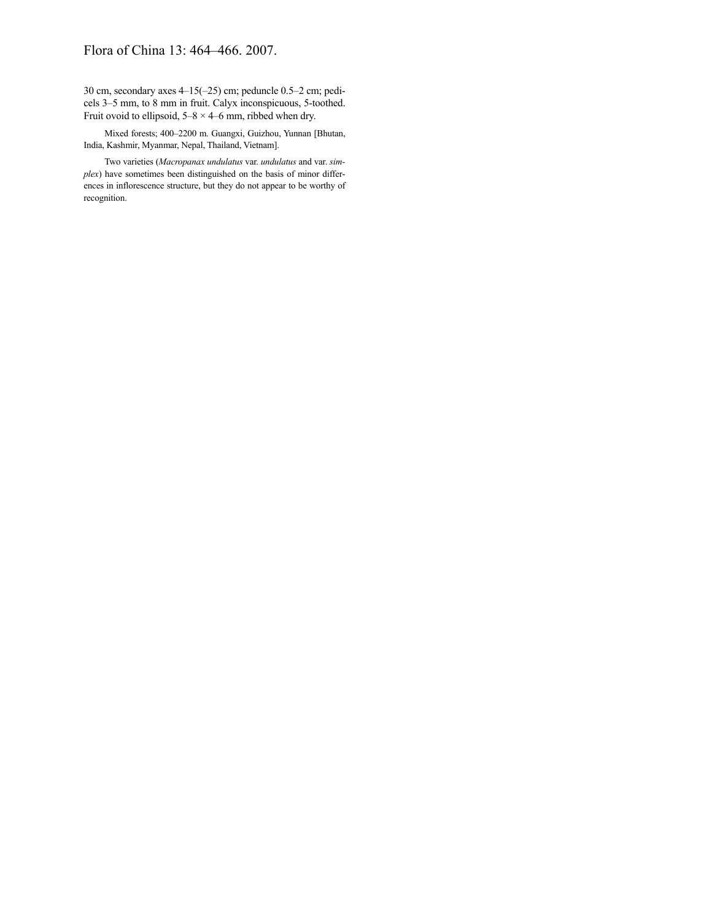# Flora of China 13: 464–466. 2007.

30 cm, secondary axes 4–15(–25) cm; peduncle 0.5–2 cm; pedicels 3–5 mm, to 8 mm in fruit. Calyx inconspicuous, 5-toothed. Fruit ovoid to ellipsoid,  $5-8 \times 4-6$  mm, ribbed when dry.

Mixed forests; 400–2200 m. Guangxi, Guizhou, Yunnan [Bhutan, India, Kashmir, Myanmar, Nepal, Thailand, Vietnam].

Two varieties (*Macropanax undulatus* var. *undulatus* and var. *simplex*) have sometimes been distinguished on the basis of minor differences in inflorescence structure, but they do not appear to be worthy of recognition.